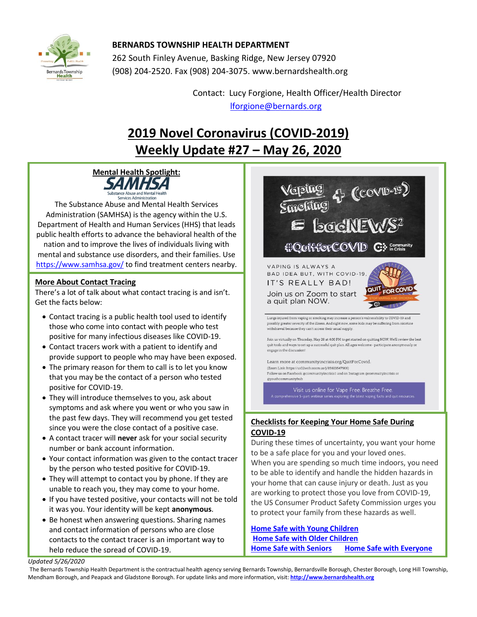

## **BERNARDS TOWNSHIP HEALTH DEPARTMENT**

262 South Finley Avenue, Basking Ridge, New Jersey 07920 (908) 204-2520. Fax (908) 204-3075[. www.bernardshealth.org](http://www.bernardshealth.org/)

> Contact: Lucy Forgione, Health Officer/Health Director [lforgione@bernards.org](mailto:lforgione@bernards.org)

## **2019 Novel Coronavirus (COVID-2019) Weekly Update #27 – May 26, 2020**



The Substance Abuse and Mental Health Services Administration (SAMHSA) is the agency within the U.S. Department of Health and Human Services (HHS) that leads public health efforts to advance the behavioral health of the nation and to improve the lives of individuals living with mental and substance use disorders, and their families. Use <https://www.samhsa.gov/> to find treatment centers nearby.

#### **More About Contact Tracing**

There's a lot of talk about what contact tracing is and isn't. Get the facts below:

- Contact tracing is a public health tool used to identify those who come into contact with people who test positive for many infectious diseases like COVID-19.
- Contact tracers work with a patient to identify and provide support to people who may have been exposed.
- The primary reason for them to call is to let you know that you may be the contact of a person who tested positive for COVID-19.
- They will introduce themselves to you, ask about symptoms and ask where you went or who you saw in the past few days. They will recommend you get tested since you were the close contact of a positive case.
- A contact tracer will **never** ask for your social security number or bank account information.
- Your contact information was given to the contact tracer by the person who tested positive for COVID-19.
- They will attempt to contact you by phone. If they are unable to reach you, they may come to your home.
- If you have tested positive, your contacts will not be told it was you. Your identity will be kept **anonymous**.
- Be honest when answering questions. Sharing names and contact information of persons who are close contacts to the contact tracer is an important way to help reduce the spread of COVID-19.



## **Checklists for Keeping Your Home Safe During COVID-19**

During these times of uncertainty, you want your home to be a safe place for you and your loved ones. When you are spending so much time indoors, you need to be able to identify and handle the hidden hazards in your home that can cause injury or death. Just as you are working to protect those you love from COVID-19, the US Consumer Product Safety Commission urges you to protect your family from these hazards as well.

**[Home Safe with Young Children](https://www.cpsc.gov/s3fs-public/Home_Safe_with_YoungChildren.pdf?lv.TC770n54dd3N.Ic1dZIaZoXkpVXWQ)  [Home Safe with Older Children](https://www.cpsc.gov/s3fs-public/Home_Safe_with_OlderChildren.pdf?xjT7v9xTWGnMDXeifINQvdy6YqmtzMbH) [Home Safe with Seniors](https://www.cpsc.gov/s3fs-public/Home_Safe_with_Seniors.pdf?3YEzaS0UCv_n6UFKyV17oKCbBURChYw0) [Home Safe with Everyone](https://www.cpsc.gov/s3fs-public/Home_Safe_for_Everyone.pdf?.cc35LCn9cxhf5EkkQwIzS5E1WrfI2z1)**

**[COVID-19 Home Safety Information Center](https://www.cpsc.gov/Safety-Education/Safety-Education-Centers/covid-19-home-safety)**

*Updated 5/26/2020* 

The Bernards Township Health Department is the contractual health agency serving Bernards Township, Bernardsville Borough, Chester Borough, Long Hill Township, Mendham Borough, and Peapack and Gladstone Borough. For update links and more information, visit: **[http://www.bernardshealth.org](http://www.bernardshealth.org/)**